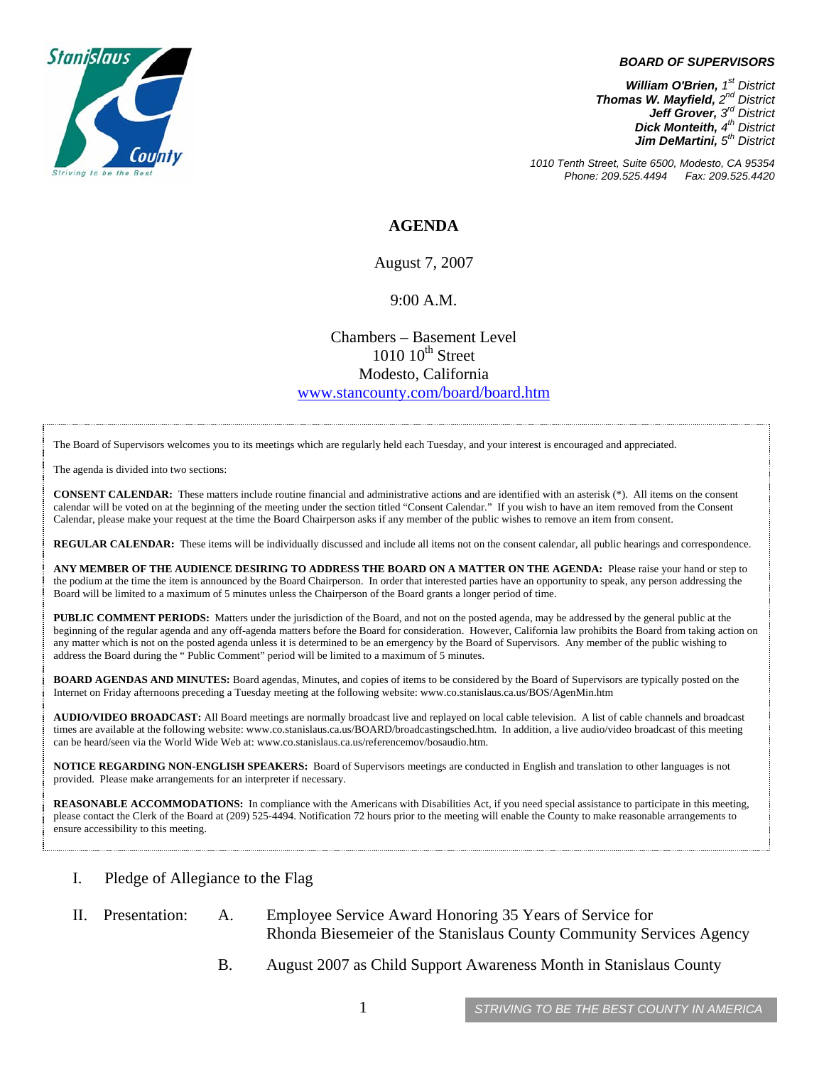

#### *BOARD OF SUPERVISORS*

*William O'Brien, 1st District Thomas W. Mayfield, 2nd District Jeff Grover, 3rd District Dick Monteith, 4th District Jim DeMartini, 5th District*

*1010 Tenth Street, Suite 6500, Modesto, CA 95354 Phone: 209.525.4494 Fax: 209.525.4420* 

### **AGENDA**

August 7, 2007

#### 9:00 A.M.

Chambers – Basement Level  $1010~10^{\text{th}}$  Street Modesto, California [www.stancounty.com/board/board.htm](http://www.stancounty.com/board/board.htm)

The Board of Supervisors welcomes you to its meetings which are regularly held each Tuesday, and your interest is encouraged and appreciated.

The agenda is divided into two sections:

**CONSENT CALENDAR:** These matters include routine financial and administrative actions and are identified with an asterisk (\*). All items on the consent calendar will be voted on at the beginning of the meeting under the section titled "Consent Calendar." If you wish to have an item removed from the Consent Calendar, please make your request at the time the Board Chairperson asks if any member of the public wishes to remove an item from consent.

**REGULAR CALENDAR:** These items will be individually discussed and include all items not on the consent calendar, all public hearings and correspondence.

**ANY MEMBER OF THE AUDIENCE DESIRING TO ADDRESS THE BOARD ON A MATTER ON THE AGENDA:** Please raise your hand or step to the podium at the time the item is announced by the Board Chairperson. In order that interested parties have an opportunity to speak, any person addressing the Board will be limited to a maximum of 5 minutes unless the Chairperson of the Board grants a longer period of time.

**PUBLIC COMMENT PERIODS:** Matters under the jurisdiction of the Board, and not on the posted agenda, may be addressed by the general public at the beginning of the regular agenda and any off-agenda matters before the Board for consideration. However, California law prohibits the Board from taking action on any matter which is not on the posted agenda unless it is determined to be an emergency by the Board of Supervisors. Any member of the public wishing to address the Board during the " Public Comment" period will be limited to a maximum of 5 minutes.

**BOARD AGENDAS AND MINUTES:** Board agendas, Minutes, and copies of items to be considered by the Board of Supervisors are typically posted on the Internet on Friday afternoons preceding a Tuesday meeting at the following website: [www.co.stanislaus.ca.us/BOS/AgenMin.htm](http://www.co.stanislaus.ca.us/BOS/AgenMin.htm) 

**AUDIO/VIDEO BROADCAST:** All Board meetings are normally broadcast live and replayed on local cable television. A list of cable channels and broadcast times are available at the following website: [www.co.stanislaus.ca.us/BOARD/broadcastingsched.htm](http://www.co.stanislaus.ca.us/BOARD/broadcastingsched.htm). In addition, a live audio/video broadcast of this meeting can be heard/seen via the World Wide Web at: [www.co.stanislaus.ca.us/referencemov/bosaudio.htm.](http://www.co.stanislaus.ca.us/referencemov/bosaudio.htm)

**NOTICE REGARDING NON-ENGLISH SPEAKERS:** Board of Supervisors meetings are conducted in English and translation to other languages is not provided. Please make arrangements for an interpreter if necessary.

**REASONABLE ACCOMMODATIONS:** In compliance with the Americans with Disabilities Act, if you need special assistance to participate in this meeting, please contact the Clerk of the Board at (209) 525-4494. Notification 72 hours prior to the meeting will enable the County to make reasonable arrangements to ensure accessibility to this meeting.

- I. Pledge of Allegiance to the Flag
- II. Presentation: A. Employee Service Award Honoring 35 Years of Service for Rhonda Biesemeier of the Stanislaus County Community Services Agency
	- B. August 2007 as Child Support Awareness Month in Stanislaus County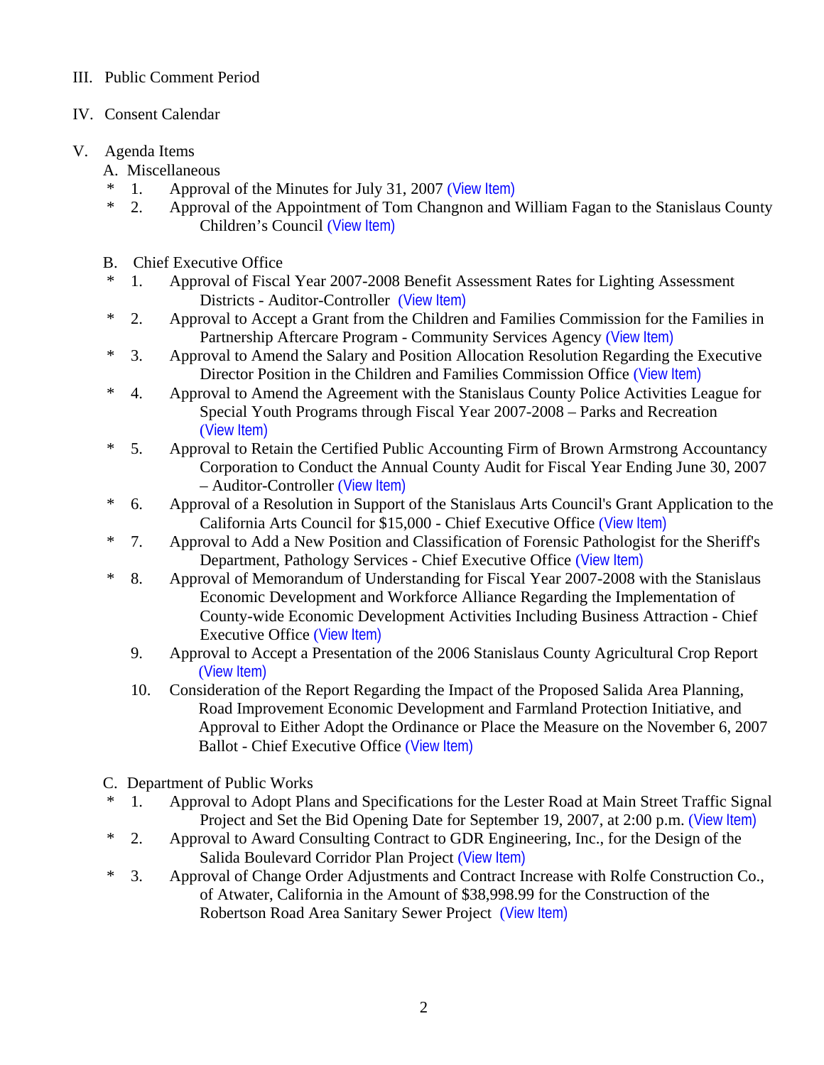# III. Public Comment Period

- IV. Consent Calendar
- V. Agenda Items
	- A. Miscellaneous
	- \* 1. Approval of the Minutes for July 31, 2007 ([View Item\)](http://www.co.stanislaus.ca.us/bos/minutes/2007/min07-31-07.pdf)
	- \* 2. Approval of the Appointment of Tom Changnon and William Fagan to the Stanislaus County Children's Council ([View Item\)](http://www.co.stanislaus.ca.us/bos/agenda/2007/20070807/A02.pdf)
	- B. Chief Executive Office
	- \* 1. Approval of Fiscal Year 2007-2008 Benefit Assessment Rates for Lighting Assessment Districts - Auditor-Controller ([View Item\)](http://www.co.stanislaus.ca.us/bos/agenda/2007/20070807/B01.pdf)
	- \* 2. Approval to Accept a Grant from the Children and Families Commission for the Families in Partnership Aftercare Program - Community Services Agency ([View Item\)](http://www.co.stanislaus.ca.us/bos/agenda/2007/20070807/B02.pdf)
	- \* 3. Approval to Amend the Salary and Position Allocation Resolution Regarding the Executive Director Position in the Children and Families Commission Office ([View Item\)](http://www.co.stanislaus.ca.us/bos/agenda/2007/20070807/B03.pdf)
	- \* 4. Approval to Amend the Agreement with the Stanislaus County Police Activities League for Special Youth Programs through Fiscal Year 2007-2008 – Parks and Recreation ([View Item\)](http://www.co.stanislaus.ca.us/bos/agenda/2007/20070807/B04.pdf)
	- \* 5. Approval to Retain the Certified Public Accounting Firm of Brown Armstrong Accountancy Corporation to Conduct the Annual County Audit for Fiscal Year Ending June 30, 2007 – Auditor-Controller ([View Item\)](http://www.co.stanislaus.ca.us/bos/agenda/2007/20070807/B05.pdf)
	- \* 6. Approval of a Resolution in Support of the Stanislaus Arts Council's Grant Application to the California Arts Council for \$15,000 - Chief Executive Office ([View Item\)](http://www.co.stanislaus.ca.us/bos/agenda/2007/20070807/B06.pdf)
	- \* 7. Approval to Add a New Position and Classification of Forensic Pathologist for the Sheriff's Department, Pathology Services - Chief Executive Office ([View Item\)](http://www.co.stanislaus.ca.us/bos/agenda/2007/20070807/B07.pdf)
	- \* 8. Approval of Memorandum of Understanding for Fiscal Year 2007-2008 with the Stanislaus Economic Development and Workforce Alliance Regarding the Implementation of County-wide Economic Development Activities Including Business Attraction - Chief Executive Office ([View Item\)](http://www.co.stanislaus.ca.us/bos/agenda/2007/20070807/B08.pdf)
		- 9. Approval to Accept a Presentation of the 2006 Stanislaus County Agricultural Crop Report ([View Item\)](http://www.co.stanislaus.ca.us/bos/agenda/2007/20070807/B09.pdf)
		- 10. Consideration of the Report Regarding the Impact of the Proposed Salida Area Planning, Road Improvement Economic Development and Farmland Protection Initiative, and Approval to Either Adopt the Ordinance or Place the Measure on the November 6, 2007 Ballot - Chief Executive Office ([View Item\)](http://www.co.stanislaus.ca.us/bos/agenda/2007/20070807/B10.pdf)
	- C. Department of Public Works
	- \* 1. Approval to Adopt Plans and Specifications for the Lester Road at Main Street Traffic Signal Project and Set the Bid Opening Date for September 19, 2007, at 2:00 p.m. ([View Item\)](http://www.co.stanislaus.ca.us/bos/agenda/2007/20070807/C01.pdf)
	- \* 2. Approval to Award Consulting Contract to GDR Engineering, Inc., for the Design of the Salida Boulevard Corridor Plan Project ([View Item\)](http://www.co.stanislaus.ca.us/bos/agenda/2007/20070807/C02.pdf)
	- \* 3. Approval of Change Order Adjustments and Contract Increase with Rolfe Construction Co., of Atwater, California in the Amount of \$38,998.99 for the Construction of the Robertson Road Area Sanitary Sewer Project ([View Item\)](http://www.co.stanislaus.ca.us/bos/agenda/2007/20070807/C03.pdf)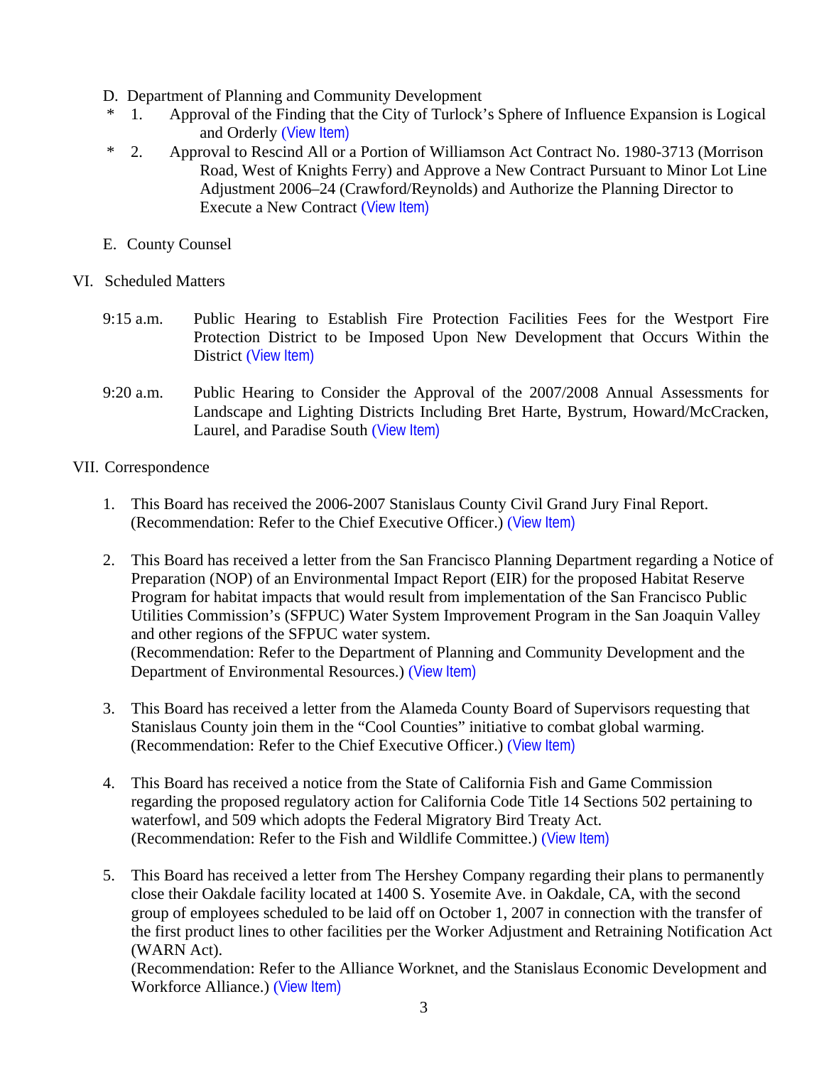- D. Department of Planning and Community Development
- \* 1. Approval of the Finding that the City of Turlock's Sphere of Influence Expansion is Logical and Orderly ([View Item\)](http://www.co.stanislaus.ca.us/bos/agenda/2007/20070807/D01.pdf)
- \* 2. Approval to Rescind All or a Portion of Williamson Act Contract No. 1980-3713 (Morrison Road, West of Knights Ferry) and Approve a New Contract Pursuant to Minor Lot Line Adjustment 2006–24 (Crawford/Reynolds) and Authorize the Planning Director to Execute a New Contract ([View Item\)](http://www.co.stanislaus.ca.us/bos/agenda/2007/20070807/D02.pdf)
- E. County Counsel
- VI. Scheduled Matters
	- 9:15 a.m. Public Hearing to Establish Fire Protection Facilities Fees for the Westport Fire Protection District to be Imposed Upon New Development that Occurs Within the District ([View Item\)](http://www.co.stanislaus.ca.us/bos/agenda/2007/20070807/PH915.pdf)
	- 9:20 a.m. Public Hearing to Consider the Approval of the 2007/2008 Annual Assessments for Landscape and Lighting Districts Including Bret Harte, Bystrum, Howard/McCracken, Laurel, and Paradise South ([View Item\)](http://www.co.stanislaus.ca.us/bos/agenda/2007/20070807/PH920.pdf)

## VII. Correspondence

- 1. This Board has received the 2006-2007 Stanislaus County Civil Grand Jury Final Report. (Recommendation: Refer to the Chief Executive Officer.) ([View Item\)](http://www.co.stanislaus.ca.us/bos/agenda/2007/20070807/Corr01.pdf)
- 2. This Board has received a letter from the San Francisco Planning Department regarding a Notice of Preparation (NOP) of an Environmental Impact Report (EIR) for the proposed Habitat Reserve Program for habitat impacts that would result from implementation of the San Francisco Public Utilities Commission's (SFPUC) Water System Improvement Program in the San Joaquin Valley and other regions of the SFPUC water system. (Recommendation: Refer to the Department of Planning and Community Development and the Department of Environmental Resources.) ([View Item\)](http://www.co.stanislaus.ca.us/bos/agenda/2007/20070807/Corr02.pdf)
- 3. This Board has received a letter from the Alameda County Board of Supervisors requesting that Stanislaus County join them in the "Cool Counties" initiative to combat global warming. (Recommendation: Refer to the Chief Executive Officer.) ([View Item\)](http://www.co.stanislaus.ca.us/bos/agenda/2007/20070807/Corr03.pdf)
- 4. This Board has received a notice from the State of California Fish and Game Commission regarding the proposed regulatory action for California Code Title 14 Sections 502 pertaining to waterfowl, and 509 which adopts the Federal Migratory Bird Treaty Act. (Recommendation: Refer to the Fish and Wildlife Committee.) ([View Item\)](http://www.co.stanislaus.ca.us/bos/agenda/2007/20070807/Corr04.pdf)
- 5. This Board has received a letter from The Hershey Company regarding their plans to permanently close their Oakdale facility located at 1400 S. Yosemite Ave. in Oakdale, CA, with the second group of employees scheduled to be laid off on October 1, 2007 in connection with the transfer of the first product lines to other facilities per the Worker Adjustment and Retraining Notification Act (WARN Act).

(Recommendation: Refer to the Alliance Worknet, and the Stanislaus Economic Development and Workforce Alliance.) ([View Item\)](http://www.co.stanislaus.ca.us/bos/agenda/2007/20070807/Corr05.pdf)